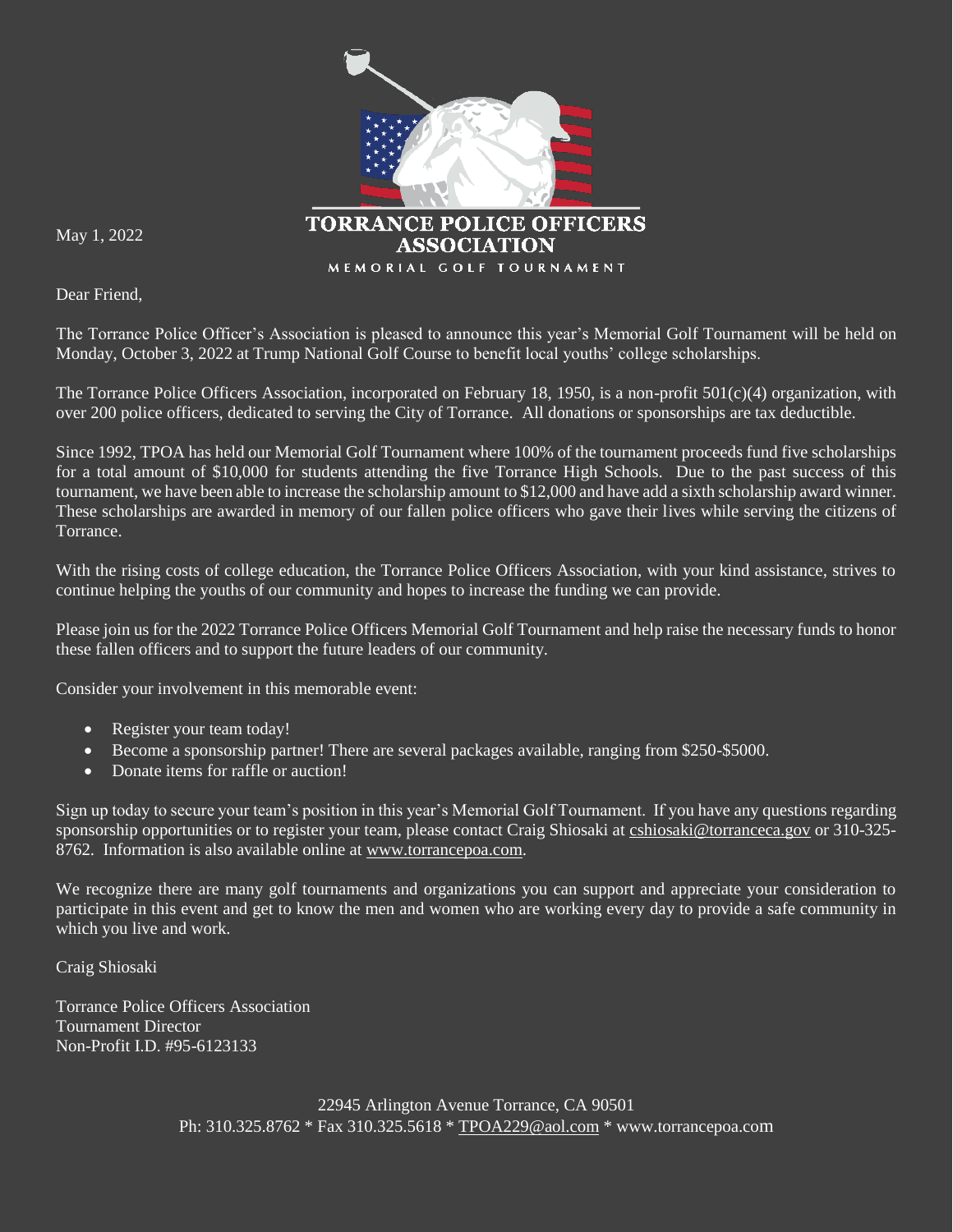

May 1, 2022

Dear Friend,

The Torrance Police Officer's Association is pleased to announce this year's Memorial Golf Tournament will be held on Monday, October 3, 2022 at Trump National Golf Course to benefit local youths' college scholarships.

The Torrance Police Officers Association, incorporated on February 18, 1950, is a non-profit 501(c)(4) organization, with over 200 police officers, dedicated to serving the City of Torrance. All donations or sponsorships are tax deductible.

Since 1992, TPOA has held our Memorial Golf Tournament where 100% of the tournament proceeds fund five scholarships for a total amount of \$10,000 for students attending the five Torrance High Schools. Due to the past success of this tournament, we have been able to increase the scholarship amount to \$12,000 and have add a sixth scholarship award winner. These scholarships are awarded in memory of our fallen police officers who gave their lives while serving the citizens of Torrance.

With the rising costs of college education, the Torrance Police Officers Association, with your kind assistance, strives to continue helping the youths of our community and hopes to increase the funding we can provide.

Please join us for the 2022 Torrance Police Officers Memorial Golf Tournament and help raise the necessary funds to honor these fallen officers and to support the future leaders of our community.

Consider your involvement in this memorable event:

- Register your team today!
- **Become** a sponsorship partner! There are several packages available, ranging from \$250-\$5000.
- Donate items for raffle or auction!

Sign up today to secure your team's position in this year's Memorial Golf Tournament. If you have any questions regarding sponsorship opportunities or to register your team, please contact Craig Shiosaki at [cshiosaki@torranceca.gov](mailto:cshiosaki@torranceca.gov) or 310-325-8762. Information is also available online at [www.torrancepoa.com.](http://www.torrancepoa.com/)

We recognize there are many golf tournaments and organizations you can support and appreciate your consideration to participate in this event and get to know the men and women who are working every day to provide a safe community in which you live and work.

Craig Shiosaki

Torrance Police Officers Association Tournament Director Non-Profit I.D. #95-6123133

> 22945 Arlington Avenue Torrance, CA 90501 Ph: 310.325.8762 \* Fax 310.325.5618 \* [TPOA229@aol.com](mailto:TPOA229@aol.com) \* www.torrancepoa.com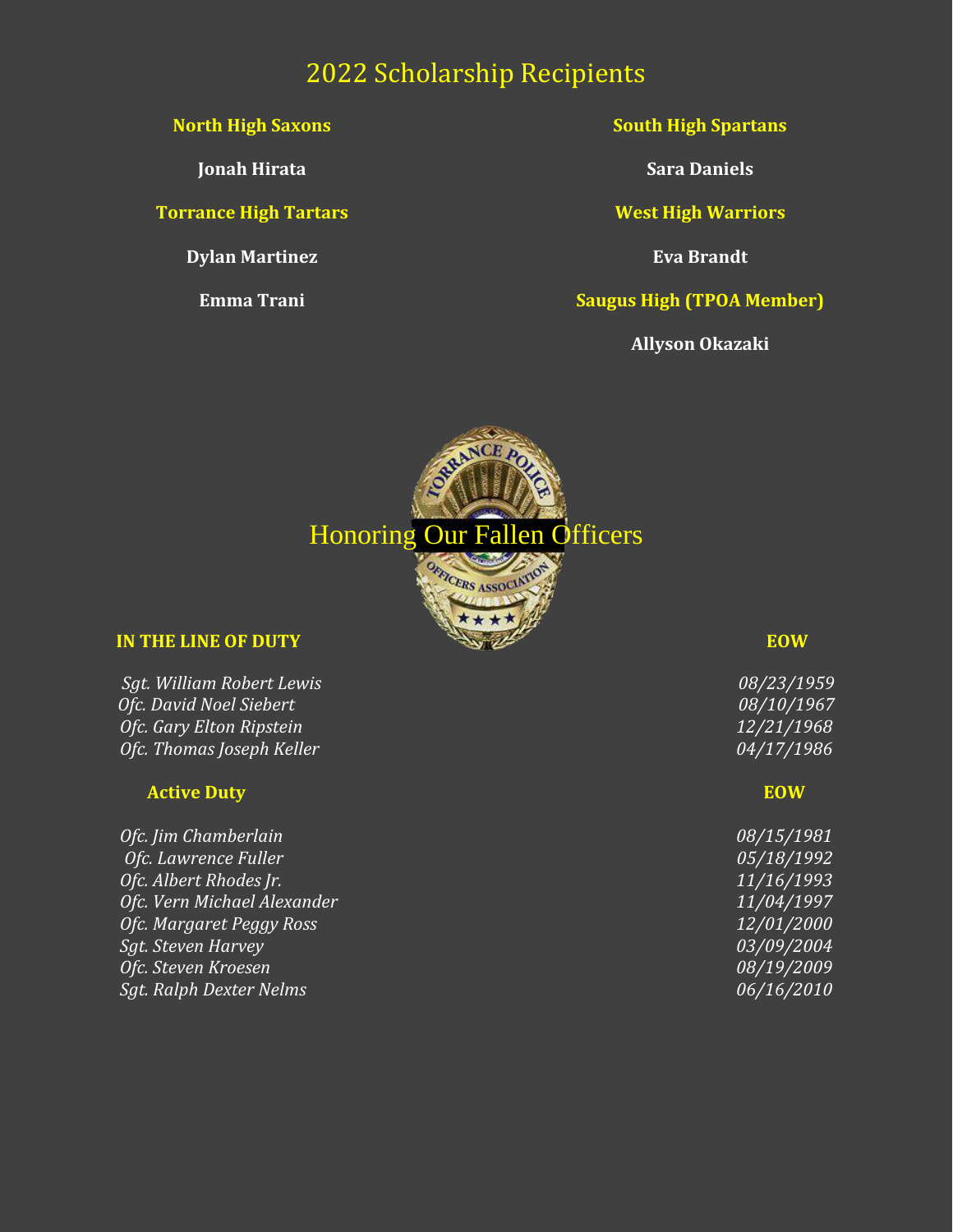# 2022 Scholarship Recipients

#### **North High Saxons**

**Jonah Hirata**

**Torrance High Tartars**

**Dylan Martinez**

**Emma Trani**

**South High Spartans**

**Sara Daniels**

**West High Warriors**

**Eva Brandt**

**Saugus High (TPOA Member)**

**Allyson Okazaki**



#### **IN THE LINE OF DUTY EOW**

*Sgt. William Robert Lewis 08/23/1959 Ofc. David Noel Siebert 08/10/1967 Ofc. Gary Elton Ripstein 12/21/1968 Ofc. Thomas Joseph Keller 04/17/1986*

#### **Active Duty EOW**

*Ofc. Jim Chamberlain Ofc. Lawrence Fuller* **Ofc.** Albert Rhodes Jr. *Ofc. Vern Michael Alexander <i>Ofc. Margaret Peggy Ross Sgt. Steven Harvey Ofc. Steven Kroesen Sgt. Ralph Dexter Nelms* 

| <i>08/15/1981</i>        |
|--------------------------|
| <i>05/18/1992</i>        |
| 11/16/1 <u>993</u>       |
| <u>11/04/1997</u>        |
| <i>12/01/2000</i>        |
| <i>03/09/200<u>4</u></i> |
| <i>08/19/2009</i>        |
| <i>06/16/2010</i>        |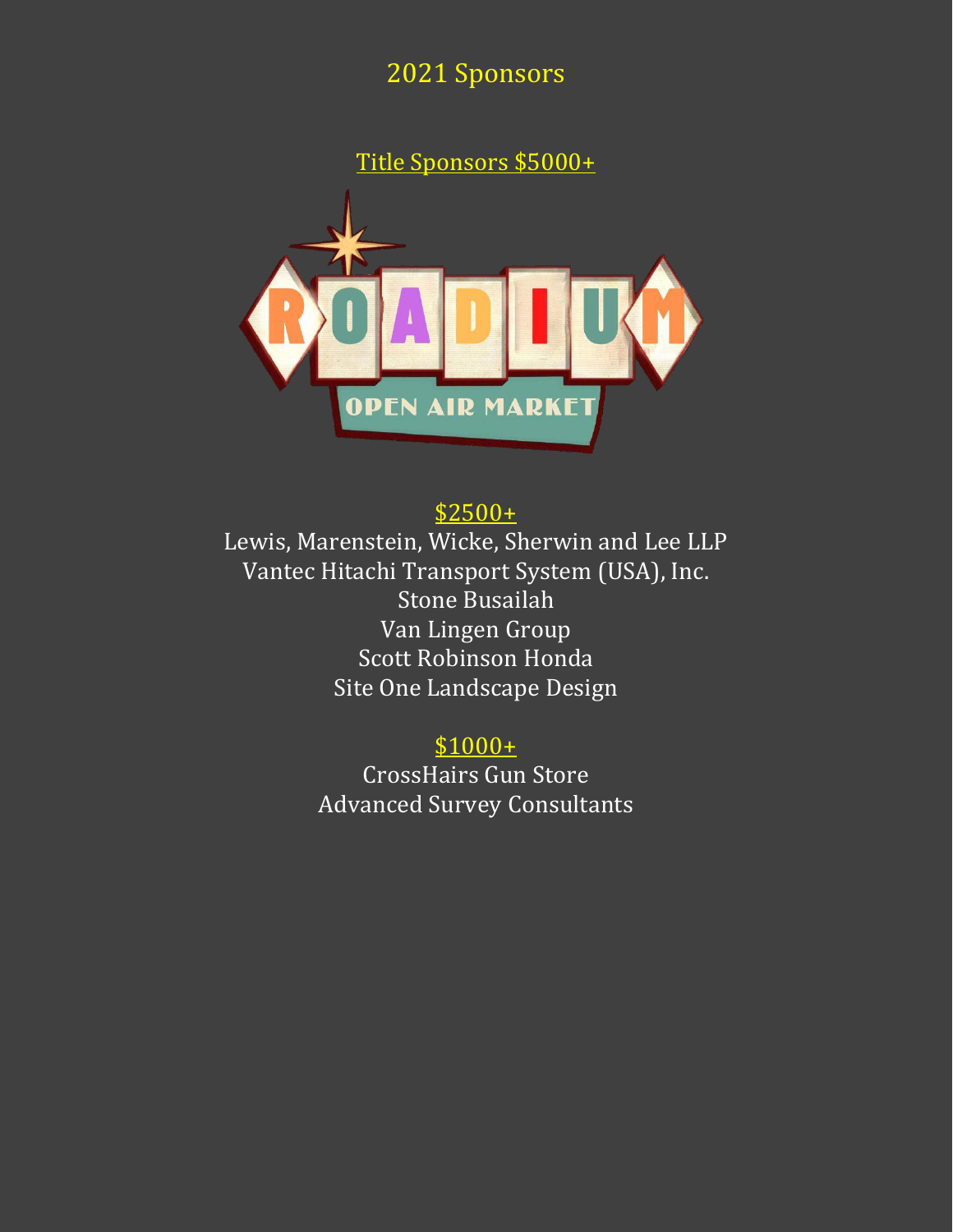2021 Sponsors

Title Sponsors \$5000+



\$2500+

Lewis, Marenstein, Wicke, Sherwin and Lee LLP Vantec Hitachi Transport System (USA), Inc. Stone Busailah Van Lingen Group Scott Robinson Honda Site One Landscape Design

> $$1000+$ CrossHairs Gun Store Advanced Survey Consultants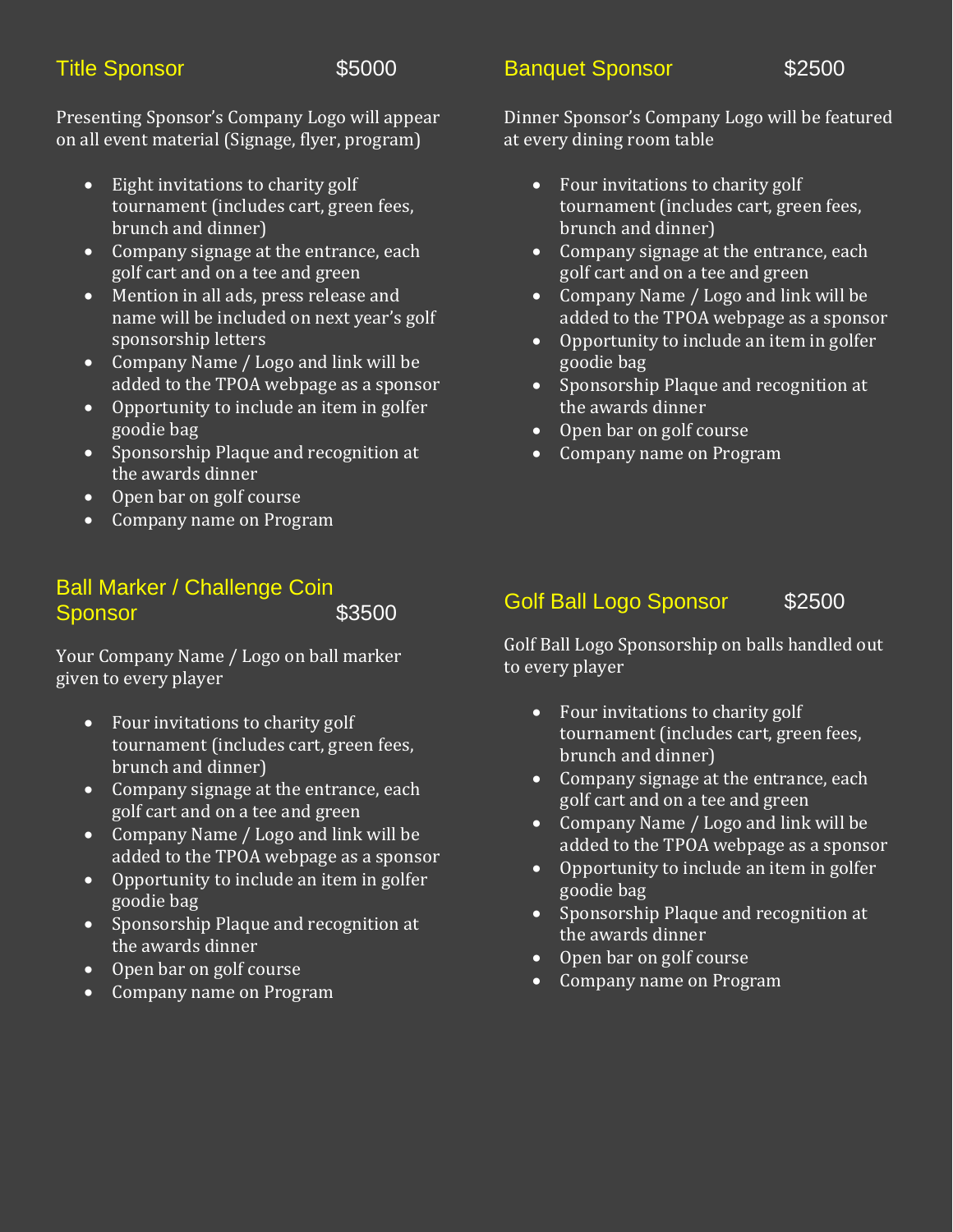## Title Sponsor **\$5000**

**Banquet Sponsor** \$2500

Presenting Sponsor's Company Logo will appear on all event material (Signage, flyer, program)

- Eight invitations to charity golf tournament (includes cart, green fees, brunch and dinner)
- Company signage at the entrance, each golf cart and on a tee and green
- Mention in all ads, press release and name will be included on next year's golf sponsorship letters
- Company Name / Logo and link will be added to the TPOA webpage as a sponsor
- Opportunity to include an item in golfer goodie bag
- Sponsorship Plaque and recognition at the awards dinner
- Open bar on golf course
- Company name on Program

### Ball Marker / Challenge Coin Sponsor \$3500

Your Company Name / Logo on ball marker given to every player

- Four invitations to charity golf tournament (includes cart, green fees, brunch and dinner)
- Company signage at the entrance, each golf cart and on a tee and green
- Company Name / Logo and link will be added to the TPOA webpage as a sponsor
- Opportunity to include an item in golfer goodie bag
- Sponsorship Plaque and recognition at the awards dinner
- Open bar on golf course
- Company name on Program

## Dinner Sponsor's Company Logo will be featured at every dining room table

- Four invitations to charity golf tournament (includes cart, green fees, brunch and dinner)
- Company signage at the entrance, each golf cart and on a tee and green
- Company Name / Logo and link will be added to the TPOA webpage as a sponsor
- Opportunity to include an item in golfer goodie bag
- Sponsorship Plaque and recognition at the awards dinner
- Open bar on golf course
- Company name on Program

## Golf Ball Logo Sponsor \$2500

Golf Ball Logo Sponsorship on balls handled out to every player

- Four invitations to charity golf tournament (includes cart, green fees, brunch and dinner)
- Company signage at the entrance, each golf cart and on a tee and green
- Company Name / Logo and link will be added to the TPOA webpage as a sponsor
- $\overline{\bullet}$  Opportunity to include an item in golfer goodie bag
- Sponsorship Plaque and recognition at the awards dinner
- Open bar on golf course
- Company name on Program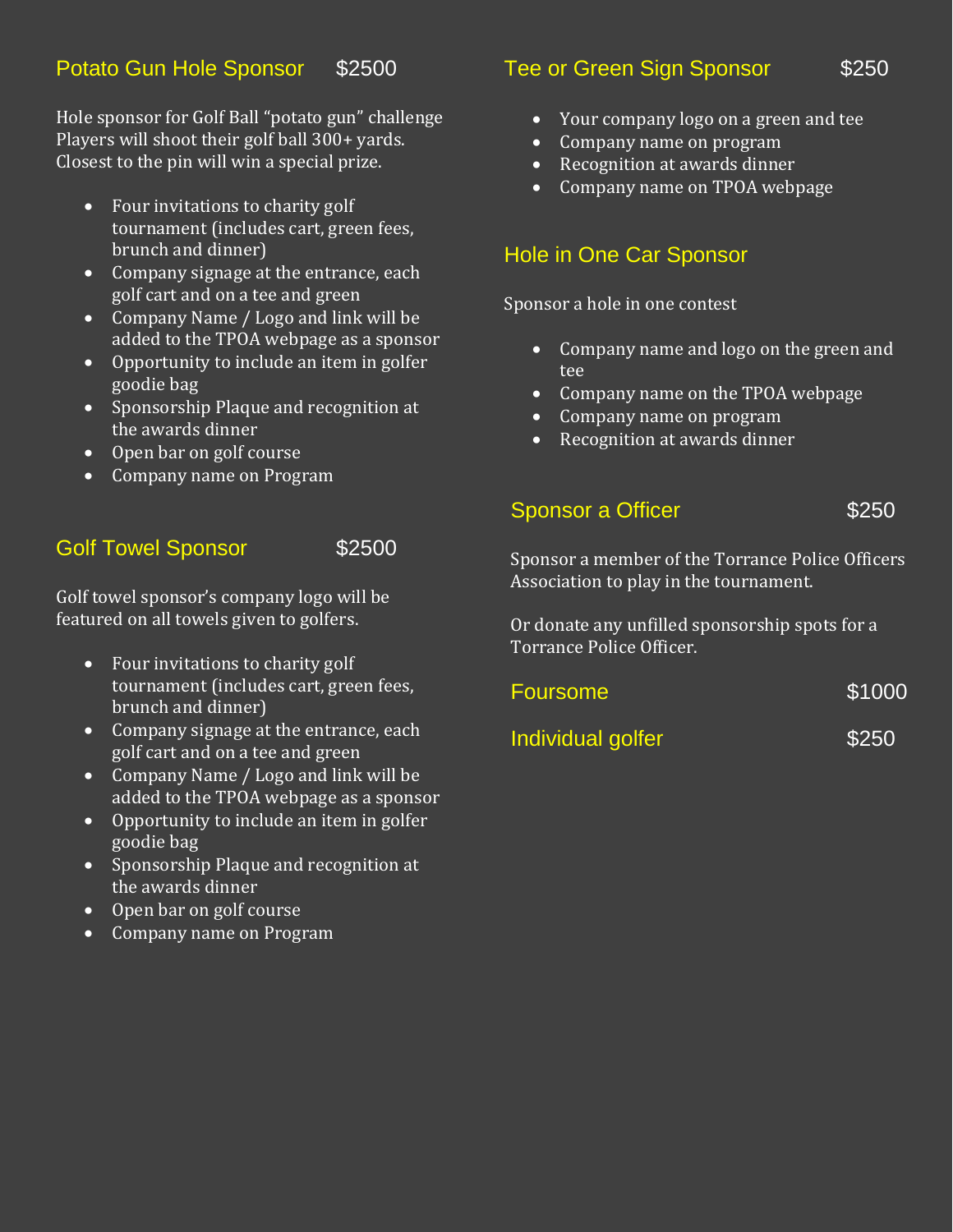Hole sponsor for Golf Ball "potato gun" challenge Players will shoot their golf ball 300+ yards. Closest to the pin will win a special prize.

- Four invitations to charity golf tournament (includes cart, green fees, brunch and dinner)
- Company signage at the entrance, each golf cart and on a tee and green
- Company Name / Logo and link will be added to the TPOA webpage as a sponsor
- Opportunity to include an item in golfer goodie bag
- Sponsorship Plaque and recognition at the awards dinner
- Open bar on golf course
- Company name on Program

## Golf Towel Sponsor \$2500

Golf towel sponsor's company logo will be featured on all towels given to golfers.

- Four invitations to charity golf tournament (includes cart, green fees, brunch and dinner)
- Company signage at the entrance, each golf cart and on a tee and green
- Company Name / Logo and link will be added to the TPOA webpage as a sponsor
- Opportunity to include an item in golfer goodie bag
- Sponsorship Plaque and recognition at the awards dinner
- Open bar on golf course
- Company name on Program

### Tee or Green Sign Sponsor \$250

- Your company logo on a green and tee
- Company name on program
- Recognition at awards dinner
- Company name on TPOA webpage

## Hole in One Car Sponsor

Sponsor a hole in one contest

- Company name and logo on the green and tee
- Company name on the TPOA webpage
- Company name on program
- Recognition at awards dinner

#### Sponsor a Officer **\$250**

Sponsor a member of the Torrance Police Officers Association to play in the tournament.

Or donate any unfilled sponsorship spots for a Torrance Police Officer.

| <b>Foursome</b>   | \$1000 |
|-------------------|--------|
| Individual golfer | \$250  |